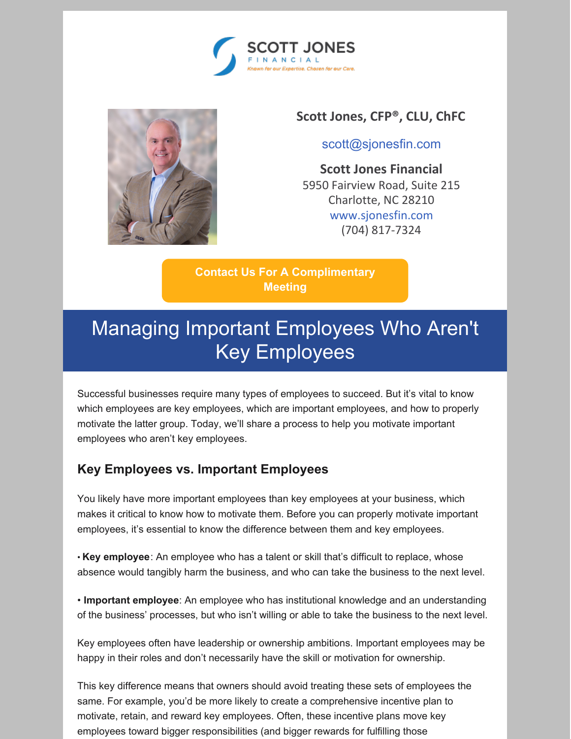



#### **Scott Jones, CFP®, CLU, ChFC**

[scott@sjonesfin.com](mailto:scott@sjonesfin.com)

**Scott Jones Financial** 5950 Fairview Road, Suite 215 Charlotte, NC 28210 [www.sjonesfin.com](https://scottjonesfinancial.cmail20.com/t/j-l-ajjuue-ttjkkuxjh-y/) (704) 817-7324

**Contact Us For A [Complimentary](mailto:scott@sjonesfin.com) Meeting**

# Managing Important Employees Who Aren't Key Employees

Successful businesses require many types of employees to succeed. But it's vital to know which employees are key employees, which are important employees, and how to properly motivate the latter group. Today, we'll share a process to help you motivate important employees who aren't key employees.

#### **Key Employees vs. Important Employees**

You likely have more important employees than key employees at your business, which makes it critical to know how to motivate them. Before you can properly motivate important employees, it's essential to know the difference between them and key employees.

• **Key employee**: An employee who has a talent or skill that's difficult to replace, whose absence would tangibly harm the business, and who can take the business to the next level.

• **Important employee**: An employee who has institutional knowledge and an understanding of the business' processes, but who isn't willing or able to take the business to the next level.

Key employees often have leadership or ownership ambitions. Important employees may be happy in their roles and don't necessarily have the skill or motivation for ownership.

This key difference means that owners should avoid treating these sets of employees the same. For example, you'd be more likely to create a comprehensive incentive plan to motivate, retain, and reward key employees. Often, these incentive plans move key employees toward bigger responsibilities (and bigger rewards for fulfilling those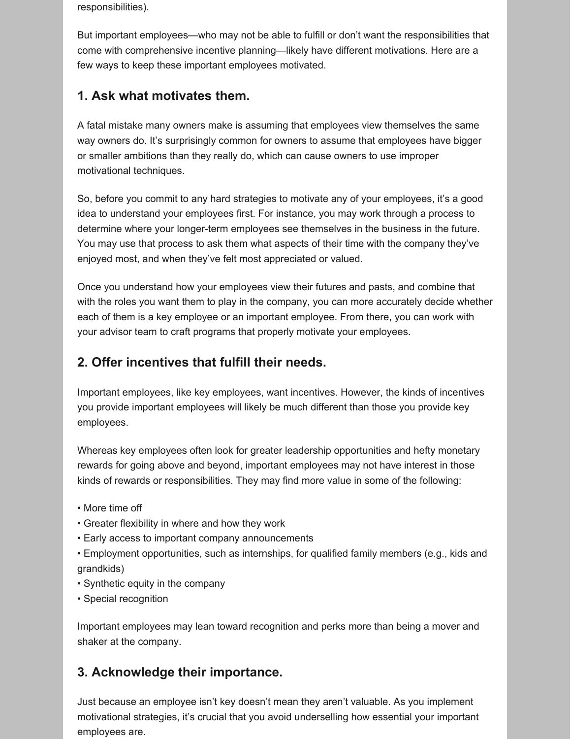responsibilities).

But important employees—who may not be able to fulfill or don't want the responsibilities that come with comprehensive incentive planning—likely have different motivations. Here are a few ways to keep these important employees motivated.

### **1. Ask what motivates them.**

A fatal mistake many owners make is assuming that employees view themselves the same way owners do. It's surprisingly common for owners to assume that employees have bigger or smaller ambitions than they really do, which can cause owners to use improper motivational techniques.

So, before you commit to any hard strategies to motivate any of your employees, it's a good idea to understand your employees first. For instance, you may work through a process to determine where your longer-term employees see themselves in the business in the future. You may use that process to ask them what aspects of their time with the company they've enjoyed most, and when they've felt most appreciated or valued.

Once you understand how your employees view their futures and pasts, and combine that with the roles you want them to play in the company, you can more accurately decide whether each of them is a key employee or an important employee. From there, you can work with your advisor team to craft programs that properly motivate your employees.

### **2. Offer incentives that fulfill their needs.**

Important employees, like key employees, want incentives. However, the kinds of incentives you provide important employees will likely be much different than those you provide key employees.

Whereas key employees often look for greater leadership opportunities and hefty monetary rewards for going above and beyond, important employees may not have interest in those kinds of rewards or responsibilities. They may find more value in some of the following:

- More time off
- Greater flexibility in where and how they work
- Early access to important company announcements
- Employment opportunities, such as internships, for qualified family members (e.g., kids and grandkids)
- Synthetic equity in the company
- Special recognition

Important employees may lean toward recognition and perks more than being a mover and shaker at the company.

## **3. Acknowledge their importance.**

Just because an employee isn't key doesn't mean they aren't valuable. As you implement motivational strategies, it's crucial that you avoid underselling how essential your important employees are.